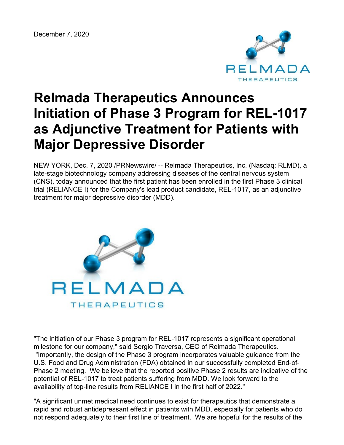

# **Relmada Therapeutics Announces Initiation of Phase 3 Program for REL-1017 as Adjunctive Treatment for Patients with Major Depressive Disorder**

NEW YORK, Dec. 7, 2020 /PRNewswire/ -- Relmada Therapeutics, Inc. (Nasdaq: RLMD), a late-stage biotechnology company addressing diseases of the central nervous system (CNS), today announced that the first patient has been enrolled in the first Phase 3 clinical trial (RELIANCE I) for the Company's lead product candidate, REL-1017, as an adjunctive treatment for major depressive disorder (MDD).



"The initiation of our Phase 3 program for REL-1017 represents a significant operational milestone for our company," said Sergio Traversa, CEO of Relmada Therapeutics. "Importantly, the design of the Phase 3 program incorporates valuable guidance from the U.S. Food and Drug Administration (FDA) obtained in our successfully completed End-of-Phase 2 meeting. We believe that the reported positive Phase 2 results are indicative of the potential of REL-1017 to treat patients suffering from MDD. We look forward to the availability of top-line results from RELIANCE I in the first half of 2022."

"A significant unmet medical need continues to exist for therapeutics that demonstrate a rapid and robust antidepressant effect in patients with MDD, especially for patients who do not respond adequately to their first line of treatment. We are hopeful for the results of the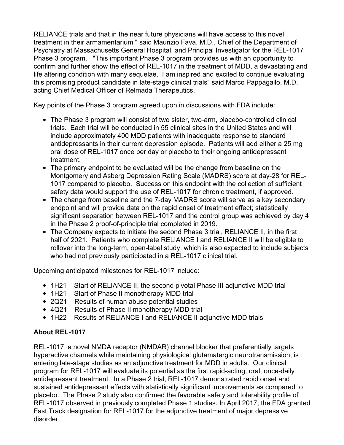RELIANCE trials and that in the near future physicians will have access to this novel treatment in their armamentarium " said Maurizio Fava, M.D., Chief of the Department of Psychiatry at Massachusetts General Hospital, and Principal Investigator for the REL-1017 Phase 3 program. "This important Phase 3 program provides us with an opportunity to confirm and further show the effect of REL-1017 in the treatment of MDD, a devastating and life altering condition with many sequelae. I am inspired and excited to continue evaluating this promising product candidate in late-stage clinical trials" said Marco Pappagallo, M.D. acting Chief Medical Officer of Relmada Therapeutics.

Key points of the Phase 3 program agreed upon in discussions with FDA include:

- The Phase 3 program will consist of two sister, two-arm, placebo-controlled clinical trials. Each trial will be conducted in 55 clinical sites in the United States and will include approximately 400 MDD patients with inadequate response to standard antidepressants in their current depression episode. Patients will add either a 25 mg oral dose of REL-1017 once per day or placebo to their ongoing antidepressant treatment.
- The primary endpoint to be evaluated will be the change from baseline on the Montgomery and Asberg Depression Rating Scale (MADRS) score at day-28 for REL-1017 compared to placebo. Success on this endpoint with the collection of sufficient safety data would support the use of REL-1017 for chronic treatment, if approved.
- The change from baseline and the 7-day MADRS score will serve as a key secondary endpoint and will provide data on the rapid onset of treatment effect; statistically significant separation between REL-1017 and the control group was achieved by day 4 in the Phase 2 proof-of-principle trial completed in 2019.
- The Company expects to initiate the second Phase 3 trial, RELIANCE II, in the first half of 2021. Patients who complete RELIANCE I and RELIANCE II will be eligible to rollover into the long-term, open-label study, which is also expected to include subjects who had not previously participated in a REL-1017 clinical trial.

Upcoming anticipated milestones for REL-1017 include:

- 1H21 Start of RELIANCE II, the second pivotal Phase III adjunctive MDD trial
- 1H21 Start of Phase II monotherapy MDD trial
- 2Q21 Results of human abuse potential studies
- 4Q21 Results of Phase II monotherapy MDD trial
- 1H22 Results of RELIANCE I and RELIANCE II adjunctive MDD trials

## **About REL-1017**

REL-1017, a novel NMDA receptor (NMDAR) channel blocker that preferentially targets hyperactive channels while maintaining physiological glutamatergic neurotransmission, is entering late-stage studies as an adjunctive treatment for MDD in adults. Our clinical program for REL-1017 will evaluate its potential as the first rapid-acting, oral, once-daily antidepressant treatment. In a Phase 2 trial, REL-1017 demonstrated rapid onset and sustained antidepressant effects with statistically significant improvements as compared to placebo. The Phase 2 study also confirmed the favorable safety and tolerability profile of REL-1017 observed in previously completed Phase 1 studies. In April 2017, the FDA granted Fast Track designation for REL-1017 for the adjunctive treatment of major depressive disorder.